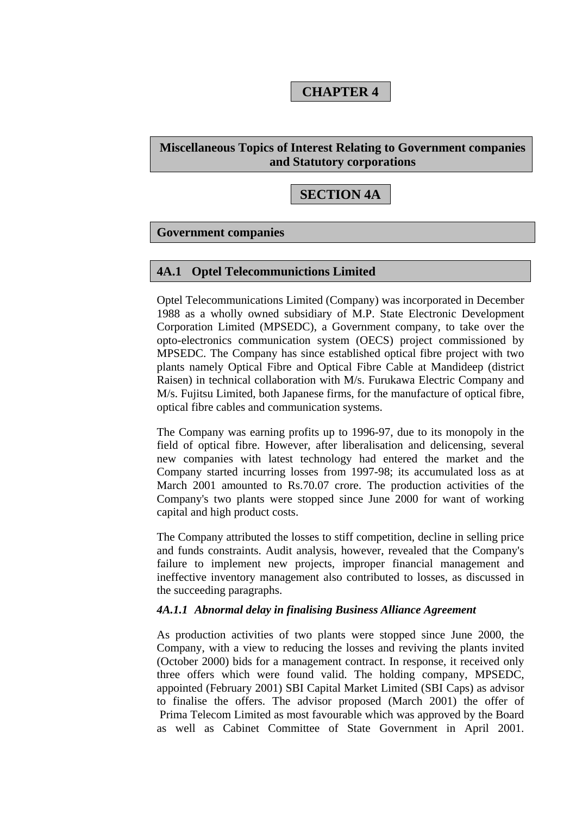# **CHAPTER 4**

## **Miscellaneous Topics of Interest Relating to Government companies and Statutory corporations**

# **SECTION 4A**

#### **Government companies**

#### **4A.1 Optel Telecommunictions Limited**

Optel Telecommunications Limited (Company) was incorporated in December 1988 as a wholly owned subsidiary of M.P. State Electronic Development Corporation Limited (MPSEDC), a Government company, to take over the opto-electronics communication system (OECS) project commissioned by MPSEDC. The Company has since established optical fibre project with two plants namely Optical Fibre and Optical Fibre Cable at Mandideep (district Raisen) in technical collaboration with M/s. Furukawa Electric Company and M/s. Fujitsu Limited, both Japanese firms, for the manufacture of optical fibre, optical fibre cables and communication systems.

The Company was earning profits up to 1996-97, due to its monopoly in the field of optical fibre. However, after liberalisation and delicensing, several new companies with latest technology had entered the market and the Company started incurring losses from 1997-98; its accumulated loss as at March 2001 amounted to Rs.70.07 crore. The production activities of the Company's two plants were stopped since June 2000 for want of working capital and high product costs.

The Company attributed the losses to stiff competition, decline in selling price and funds constraints. Audit analysis, however, revealed that the Company's failure to implement new projects, improper financial management and ineffective inventory management also contributed to losses, as discussed in the succeeding paragraphs.

#### *4A.1.1 Abnormal delay in finalising Business Alliance Agreement*

As production activities of two plants were stopped since June 2000, the Company, with a view to reducing the losses and reviving the plants invited (October 2000) bids for a management contract. In response, it received only three offers which were found valid. The holding company, MPSEDC, appointed (February 2001) SBI Capital Market Limited (SBI Caps) as advisor to finalise the offers. The advisor proposed (March 2001) the offer of Prima Telecom Limited as most favourable which was approved by the Board as well as Cabinet Committee of State Government in April 2001.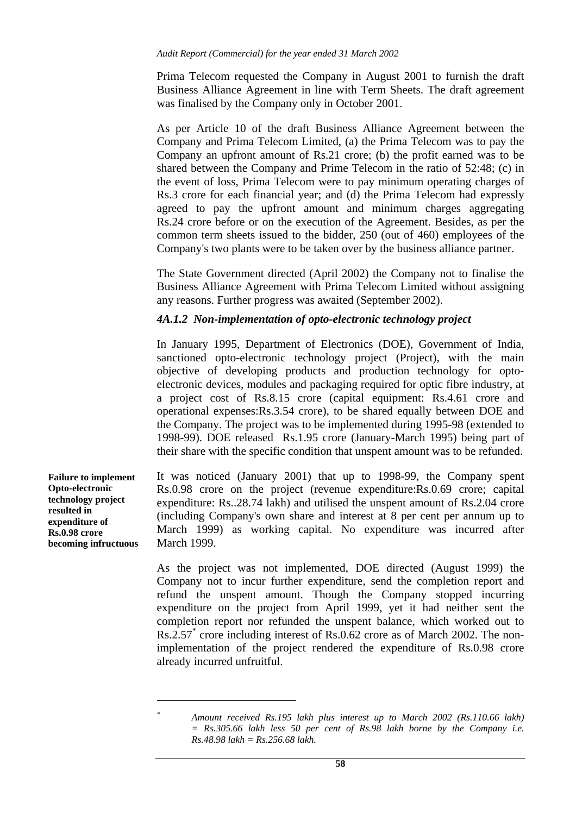Prima Telecom requested the Company in August 2001 to furnish the draft Business Alliance Agreement in line with Term Sheets. The draft agreement was finalised by the Company only in October 2001.

As per Article 10 of the draft Business Alliance Agreement between the Company and Prima Telecom Limited, (a) the Prima Telecom was to pay the Company an upfront amount of Rs.21 crore; (b) the profit earned was to be shared between the Company and Prime Telecom in the ratio of 52:48; (c) in the event of loss, Prima Telecom were to pay minimum operating charges of Rs.3 crore for each financial year; and (d) the Prima Telecom had expressly agreed to pay the upfront amount and minimum charges aggregating Rs.24 crore before or on the execution of the Agreement. Besides, as per the common term sheets issued to the bidder, 250 (out of 460) employees of the Company's two plants were to be taken over by the business alliance partner.

The State Government directed (April 2002) the Company not to finalise the Business Alliance Agreement with Prima Telecom Limited without assigning any reasons. Further progress was awaited (September 2002).

## *4A.1.2 Non-implementation of opto-electronic technology project*

In January 1995, Department of Electronics (DOE), Government of India, sanctioned opto-electronic technology project (Project), with the main objective of developing products and production technology for optoelectronic devices, modules and packaging required for optic fibre industry, at a project cost of Rs.8.15 crore (capital equipment: Rs.4.61 crore and operational expenses:Rs.3.54 crore), to be shared equally between DOE and the Company. The project was to be implemented during 1995-98 (extended to 1998-99). DOE released Rs.1.95 crore (January-March 1995) being part of their share with the specific condition that unspent amount was to be refunded.

It was noticed (January 2001) that up to 1998-99, the Company spent Rs.0.98 crore on the project (revenue expenditure:Rs.0.69 crore; capital expenditure: Rs..28.74 lakh) and utilised the unspent amount of Rs.2.04 crore (including Company's own share and interest at 8 per cent per annum up to March 1999) as working capital. No expenditure was incurred after March 1999.

As the project was not implemented, DOE directed (August 1999) the Company not to incur further expenditure, send the completion report and refund the unspent amount. Though the Company stopped incurring expenditure on the project from April 1999, yet it had neither sent the completion report nor refunded the unspent balance, which worked out to Rs.2.57\* crore including interest of Rs.0.62 crore as of March 2002. The nonimplementation of the project rendered the expenditure of Rs.0.98 crore already incurred unfruitful.

**Failure to implement Opto-electronic technology project resulted in expenditure of Rs.0.98 crore becoming infructuous** 

> $\overline{a}$ *\**

*Amount received Rs.195 lakh plus interest up to March 2002 (Rs.110.66 lakh) = Rs.305.66 lakh less 50 per cent of Rs.98 lakh borne by the Company i.e. Rs.48.98 lakh = Rs.256.68 lakh.*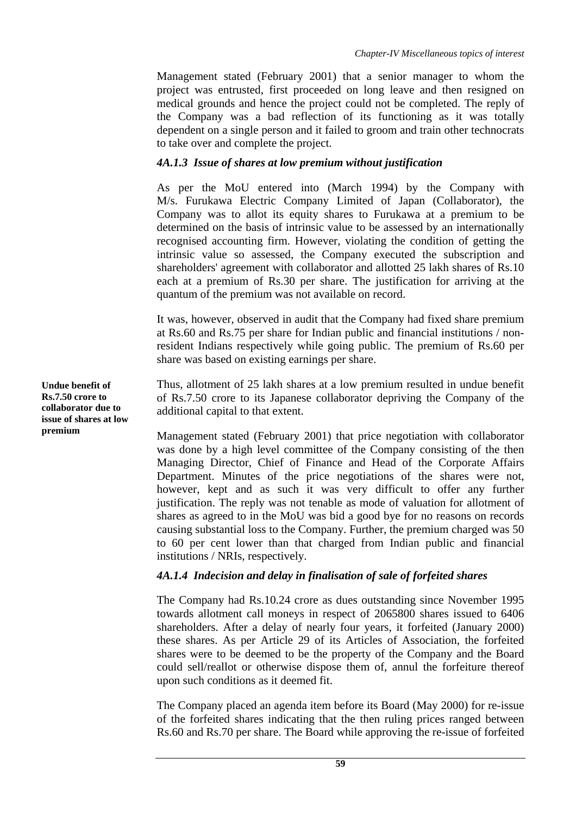Management stated (February 2001) that a senior manager to whom the project was entrusted, first proceeded on long leave and then resigned on medical grounds and hence the project could not be completed. The reply of the Company was a bad reflection of its functioning as it was totally dependent on a single person and it failed to groom and train other technocrats to take over and complete the project.

### *4A.1.3 Issue of shares at low premium without justification*

As per the MoU entered into (March 1994) by the Company with M/s. Furukawa Electric Company Limited of Japan (Collaborator), the Company was to allot its equity shares to Furukawa at a premium to be determined on the basis of intrinsic value to be assessed by an internationally recognised accounting firm. However, violating the condition of getting the intrinsic value so assessed, the Company executed the subscription and shareholders' agreement with collaborator and allotted 25 lakh shares of Rs.10 each at a premium of Rs.30 per share. The justification for arriving at the quantum of the premium was not available on record.

It was, however, observed in audit that the Company had fixed share premium at Rs.60 and Rs.75 per share for Indian public and financial institutions / nonresident Indians respectively while going public. The premium of Rs.60 per share was based on existing earnings per share.

Thus, allotment of 25 lakh shares at a low premium resulted in undue benefit of Rs.7.50 crore to its Japanese collaborator depriving the Company of the additional capital to that extent.

Management stated (February 2001) that price negotiation with collaborator was done by a high level committee of the Company consisting of the then Managing Director, Chief of Finance and Head of the Corporate Affairs Department. Minutes of the price negotiations of the shares were not, however, kept and as such it was very difficult to offer any further justification. The reply was not tenable as mode of valuation for allotment of shares as agreed to in the MoU was bid a good bye for no reasons on records causing substantial loss to the Company. Further, the premium charged was 50 to 60 per cent lower than that charged from Indian public and financial institutions / NRIs, respectively.

## *4A.1.4 Indecision and delay in finalisation of sale of forfeited shares*

The Company had Rs.10.24 crore as dues outstanding since November 1995 towards allotment call moneys in respect of 2065800 shares issued to 6406 shareholders. After a delay of nearly four years, it forfeited (January 2000) these shares. As per Article 29 of its Articles of Association, the forfeited shares were to be deemed to be the property of the Company and the Board could sell/reallot or otherwise dispose them of, annul the forfeiture thereof upon such conditions as it deemed fit.

The Company placed an agenda item before its Board (May 2000) for re-issue of the forfeited shares indicating that the then ruling prices ranged between Rs.60 and Rs.70 per share. The Board while approving the re-issue of forfeited

**Undue benefit of Rs.7.50 crore to collaborator due to issue of shares at low premium**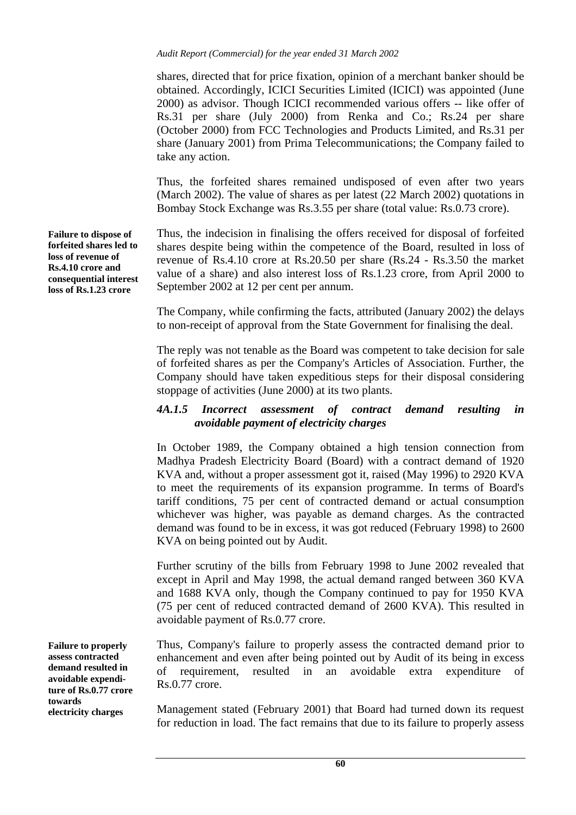shares, directed that for price fixation, opinion of a merchant banker should be obtained. Accordingly, ICICI Securities Limited (ICICI) was appointed (June 2000) as advisor. Though ICICI recommended various offers -- like offer of Rs.31 per share (July 2000) from Renka and Co.; Rs.24 per share (October 2000) from FCC Technologies and Products Limited, and Rs.31 per share (January 2001) from Prima Telecommunications; the Company failed to take any action.

Thus, the forfeited shares remained undisposed of even after two years (March 2002). The value of shares as per latest (22 March 2002) quotations in Bombay Stock Exchange was Rs.3.55 per share (total value: Rs.0.73 crore).

Thus, the indecision in finalising the offers received for disposal of forfeited shares despite being within the competence of the Board, resulted in loss of revenue of Rs.4.10 crore at Rs.20.50 per share (Rs.24 - Rs.3.50 the market value of a share) and also interest loss of Rs.1.23 crore, from April 2000 to September 2002 at 12 per cent per annum.

The Company, while confirming the facts, attributed (January 2002) the delays to non-receipt of approval from the State Government for finalising the deal.

The reply was not tenable as the Board was competent to take decision for sale of forfeited shares as per the Company's Articles of Association. Further, the Company should have taken expeditious steps for their disposal considering stoppage of activities (June 2000) at its two plants.

## *4A.1.5 Incorrect assessment of contract demand resulting in avoidable payment of electricity charges*

In October 1989, the Company obtained a high tension connection from Madhya Pradesh Electricity Board (Board) with a contract demand of 1920 KVA and, without a proper assessment got it, raised (May 1996) to 2920 KVA to meet the requirements of its expansion programme. In terms of Board's tariff conditions, 75 per cent of contracted demand or actual consumption whichever was higher, was payable as demand charges. As the contracted demand was found to be in excess, it was got reduced (February 1998) to 2600 KVA on being pointed out by Audit.

Further scrutiny of the bills from February 1998 to June 2002 revealed that except in April and May 1998, the actual demand ranged between 360 KVA and 1688 KVA only, though the Company continued to pay for 1950 KVA (75 per cent of reduced contracted demand of 2600 KVA). This resulted in avoidable payment of Rs.0.77 crore.

Thus, Company's failure to properly assess the contracted demand prior to enhancement and even after being pointed out by Audit of its being in excess of requirement, resulted in an avoidable extra expenditure of Rs.0.77 crore.

Management stated (February 2001) that Board had turned down its request for reduction in load. The fact remains that due to its failure to properly assess

**Failure to dispose of forfeited shares led to loss of revenue of Rs.4.10 crore and consequential interest loss of Rs.1.23 crore** 

**Failure to properly assess contracted demand resulted in avoidable expenditure of Rs.0.77 crore towards electricity charges**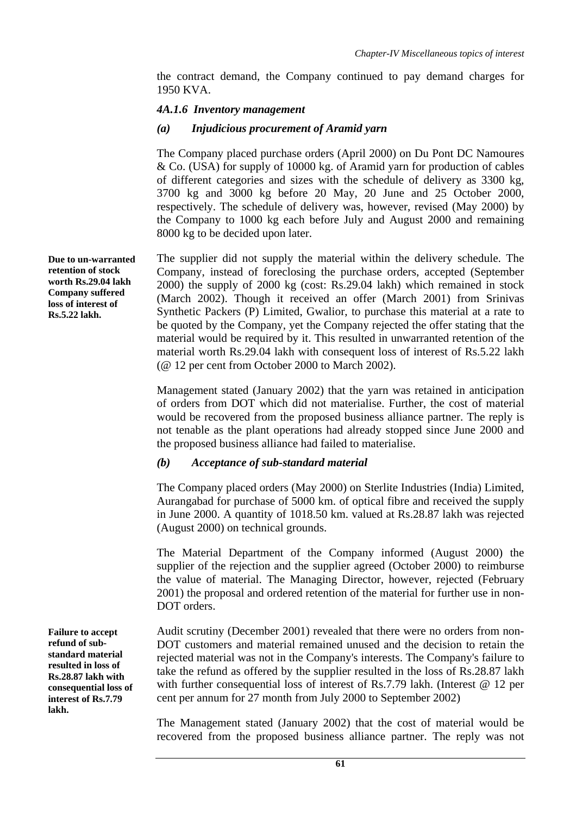the contract demand, the Company continued to pay demand charges for 1950 KVA.

#### *4A.1.6 Inventory management*

#### *(a) Injudicious procurement of Aramid yarn*

The Company placed purchase orders (April 2000) on Du Pont DC Namoures & Co. (USA) for supply of 10000 kg. of Aramid yarn for production of cables of different categories and sizes with the schedule of delivery as 3300 kg, 3700 kg and 3000 kg before 20 May, 20 June and 25 October 2000, respectively. The schedule of delivery was, however, revised (May 2000) by the Company to 1000 kg each before July and August 2000 and remaining 8000 kg to be decided upon later.

The supplier did not supply the material within the delivery schedule. The Company, instead of foreclosing the purchase orders, accepted (September 2000) the supply of 2000 kg (cost: Rs.29.04 lakh) which remained in stock (March 2002). Though it received an offer (March 2001) from Srinivas Synthetic Packers (P) Limited, Gwalior, to purchase this material at a rate to be quoted by the Company, yet the Company rejected the offer stating that the material would be required by it. This resulted in unwarranted retention of the material worth Rs.29.04 lakh with consequent loss of interest of Rs.5.22 lakh (@ 12 per cent from October 2000 to March 2002).

Management stated (January 2002) that the yarn was retained in anticipation of orders from DOT which did not materialise. Further, the cost of material would be recovered from the proposed business alliance partner. The reply is not tenable as the plant operations had already stopped since June 2000 and the proposed business alliance had failed to materialise.

#### *(b) Acceptance of sub-standard material*

The Company placed orders (May 2000) on Sterlite Industries (India) Limited, Aurangabad for purchase of 5000 km. of optical fibre and received the supply in June 2000. A quantity of 1018.50 km. valued at Rs.28.87 lakh was rejected (August 2000) on technical grounds.

The Material Department of the Company informed (August 2000) the supplier of the rejection and the supplier agreed (October 2000) to reimburse the value of material. The Managing Director, however, rejected (February 2001) the proposal and ordered retention of the material for further use in non-DOT orders.

Audit scrutiny (December 2001) revealed that there were no orders from non-DOT customers and material remained unused and the decision to retain the rejected material was not in the Company's interests. The Company's failure to take the refund as offered by the supplier resulted in the loss of Rs.28.87 lakh with further consequential loss of interest of Rs.7.79 lakh. (Interest @ 12 per cent per annum for 27 month from July 2000 to September 2002)

The Management stated (January 2002) that the cost of material would be recovered from the proposed business alliance partner. The reply was not

**Due to un-warranted retention of stock worth Rs.29.04 lakh Company suffered loss of interest of Rs.5.22 lakh.** 

**Failure to accept refund of substandard material resulted in loss of Rs.28.87 lakh with consequential loss of interest of Rs.7.79 lakh.**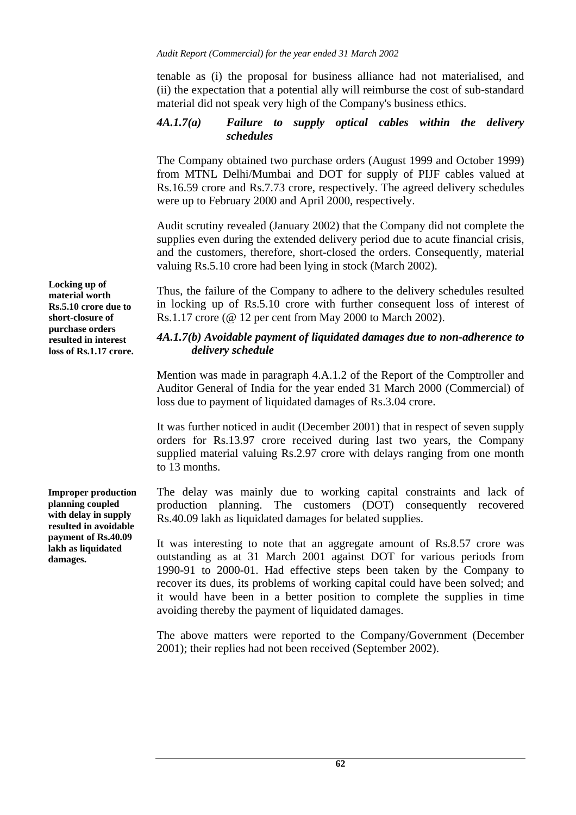tenable as (i) the proposal for business alliance had not materialised, and (ii) the expectation that a potential ally will reimburse the cost of sub-standard material did not speak very high of the Company's business ethics.

#### *4A.1.7(a) Failure to supply optical cables within the delivery schedules*

The Company obtained two purchase orders (August 1999 and October 1999) from MTNL Delhi/Mumbai and DOT for supply of PIJF cables valued at Rs.16.59 crore and Rs.7.73 crore, respectively. The agreed delivery schedules were up to February 2000 and April 2000, respectively.

Audit scrutiny revealed (January 2002) that the Company did not complete the supplies even during the extended delivery period due to acute financial crisis, and the customers, therefore, short-closed the orders. Consequently, material valuing Rs.5.10 crore had been lying in stock (March 2002).

Thus, the failure of the Company to adhere to the delivery schedules resulted in locking up of Rs.5.10 crore with further consequent loss of interest of Rs.1.17 crore (@ 12 per cent from May 2000 to March 2002).

#### *4A.1.7(b) Avoidable payment of liquidated damages due to non-adherence to delivery schedule*

Mention was made in paragraph 4.A.1.2 of the Report of the Comptroller and Auditor General of India for the year ended 31 March 2000 (Commercial) of loss due to payment of liquidated damages of Rs.3.04 crore.

It was further noticed in audit (December 2001) that in respect of seven supply orders for Rs.13.97 crore received during last two years, the Company supplied material valuing Rs.2.97 crore with delays ranging from one month to 13 months.

The delay was mainly due to working capital constraints and lack of production planning. The customers (DOT) consequently recovered Rs.40.09 lakh as liquidated damages for belated supplies.

It was interesting to note that an aggregate amount of Rs.8.57 crore was outstanding as at 31 March 2001 against DOT for various periods from 1990-91 to 2000-01. Had effective steps been taken by the Company to recover its dues, its problems of working capital could have been solved; and it would have been in a better position to complete the supplies in time avoiding thereby the payment of liquidated damages.

The above matters were reported to the Company/Government (December 2001); their replies had not been received (September 2002).

**Locking up of material worth Rs.5.10 crore due to short-closure of purchase orders resulted in interest loss of Rs.1.17 crore.** 

**Improper production planning coupled with delay in supply resulted in avoidable payment of Rs.40.09 lakh as liquidated damages.**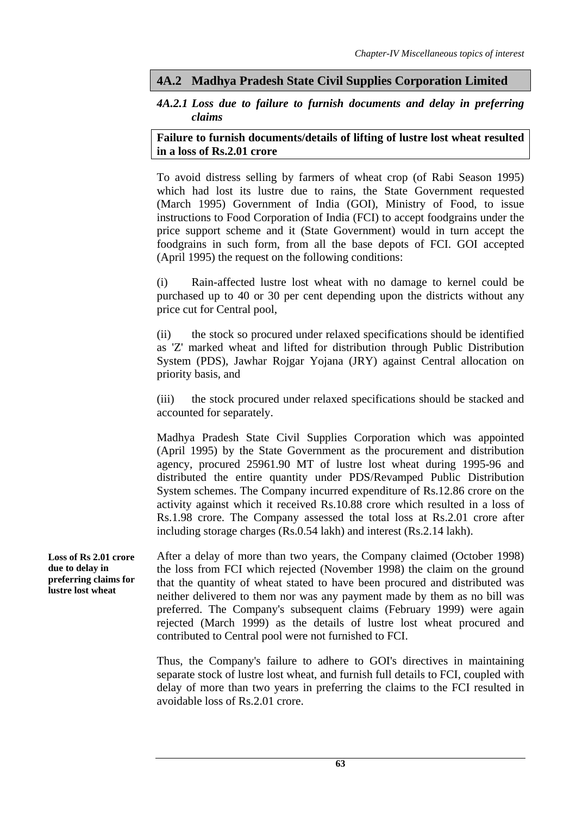## **4A.2 Madhya Pradesh State Civil Supplies Corporation Limited**

### *4A.2.1 Loss due to failure to furnish documents and delay in preferring claims*

#### **Failure to furnish documents/details of lifting of lustre lost wheat resulted in a loss of Rs.2.01 crore**

To avoid distress selling by farmers of wheat crop (of Rabi Season 1995) which had lost its lustre due to rains, the State Government requested (March 1995) Government of India (GOI), Ministry of Food, to issue instructions to Food Corporation of India (FCI) to accept foodgrains under the price support scheme and it (State Government) would in turn accept the foodgrains in such form, from all the base depots of FCI. GOI accepted (April 1995) the request on the following conditions:

(i) Rain-affected lustre lost wheat with no damage to kernel could be purchased up to 40 or 30 per cent depending upon the districts without any price cut for Central pool,

(ii) the stock so procured under relaxed specifications should be identified as 'Z' marked wheat and lifted for distribution through Public Distribution System (PDS), Jawhar Rojgar Yojana (JRY) against Central allocation on priority basis, and

(iii) the stock procured under relaxed specifications should be stacked and accounted for separately.

Madhya Pradesh State Civil Supplies Corporation which was appointed (April 1995) by the State Government as the procurement and distribution agency, procured 25961.90 MT of lustre lost wheat during 1995-96 and distributed the entire quantity under PDS/Revamped Public Distribution System schemes. The Company incurred expenditure of Rs.12.86 crore on the activity against which it received Rs.10.88 crore which resulted in a loss of Rs.1.98 crore. The Company assessed the total loss at Rs.2.01 crore after including storage charges (Rs.0.54 lakh) and interest (Rs.2.14 lakh).

After a delay of more than two years, the Company claimed (October 1998) the loss from FCI which rejected (November 1998) the claim on the ground that the quantity of wheat stated to have been procured and distributed was neither delivered to them nor was any payment made by them as no bill was preferred. The Company's subsequent claims (February 1999) were again rejected (March 1999) as the details of lustre lost wheat procured and contributed to Central pool were not furnished to FCI. **Loss of Rs 2.01 crore due to delay in preferring claims for lustre lost wheat** 

> Thus, the Company's failure to adhere to GOI's directives in maintaining separate stock of lustre lost wheat, and furnish full details to FCI, coupled with delay of more than two years in preferring the claims to the FCI resulted in avoidable loss of Rs.2.01 crore.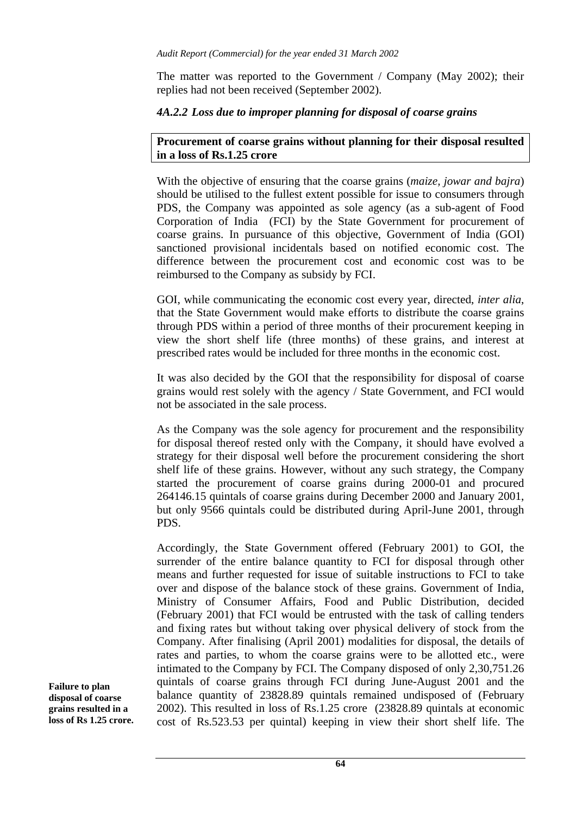The matter was reported to the Government / Company (May 2002); their replies had not been received (September 2002).

#### *4A.2.2 Loss due to improper planning for disposal of coarse grains*

#### **Procurement of coarse grains without planning for their disposal resulted in a loss of Rs.1.25 crore**

With the objective of ensuring that the coarse grains (*maize, jowar and bajra*) should be utilised to the fullest extent possible for issue to consumers through PDS, the Company was appointed as sole agency (as a sub-agent of Food Corporation of India (FCI) by the State Government for procurement of coarse grains. In pursuance of this objective, Government of India (GOI) sanctioned provisional incidentals based on notified economic cost. The difference between the procurement cost and economic cost was to be reimbursed to the Company as subsidy by FCI.

GOI, while communicating the economic cost every year, directed, *inter alia*, that the State Government would make efforts to distribute the coarse grains through PDS within a period of three months of their procurement keeping in view the short shelf life (three months) of these grains, and interest at prescribed rates would be included for three months in the economic cost.

It was also decided by the GOI that the responsibility for disposal of coarse grains would rest solely with the agency / State Government, and FCI would not be associated in the sale process.

As the Company was the sole agency for procurement and the responsibility for disposal thereof rested only with the Company, it should have evolved a strategy for their disposal well before the procurement considering the short shelf life of these grains. However, without any such strategy, the Company started the procurement of coarse grains during 2000-01 and procured 264146.15 quintals of coarse grains during December 2000 and January 2001, but only 9566 quintals could be distributed during April-June 2001, through PDS.

Accordingly, the State Government offered (February 2001) to GOI, the surrender of the entire balance quantity to FCI for disposal through other means and further requested for issue of suitable instructions to FCI to take over and dispose of the balance stock of these grains. Government of India, Ministry of Consumer Affairs, Food and Public Distribution, decided (February 2001) that FCI would be entrusted with the task of calling tenders and fixing rates but without taking over physical delivery of stock from the Company. After finalising (April 2001) modalities for disposal, the details of rates and parties, to whom the coarse grains were to be allotted etc., were intimated to the Company by FCI. The Company disposed of only 2,30,751.26 quintals of coarse grains through FCI during June-August 2001 and the balance quantity of 23828.89 quintals remained undisposed of (February 2002). This resulted in loss of Rs.1.25 crore (23828.89 quintals at economic cost of Rs.523.53 per quintal) keeping in view their short shelf life. The

**Failure to plan disposal of coarse grains resulted in a loss of Rs 1.25 crore.**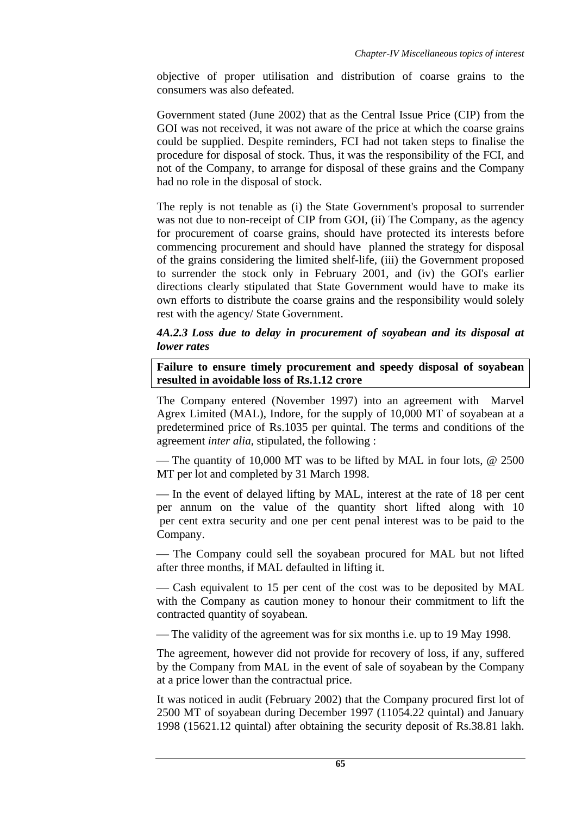objective of proper utilisation and distribution of coarse grains to the consumers was also defeated.

Government stated (June 2002) that as the Central Issue Price (CIP) from the GOI was not received, it was not aware of the price at which the coarse grains could be supplied. Despite reminders, FCI had not taken steps to finalise the procedure for disposal of stock. Thus, it was the responsibility of the FCI, and not of the Company, to arrange for disposal of these grains and the Company had no role in the disposal of stock.

The reply is not tenable as (i) the State Government's proposal to surrender was not due to non-receipt of CIP from GOI, (ii) The Company, as the agency for procurement of coarse grains, should have protected its interests before commencing procurement and should have planned the strategy for disposal of the grains considering the limited shelf-life, (iii) the Government proposed to surrender the stock only in February 2001, and (iv) the GOI's earlier directions clearly stipulated that State Government would have to make its own efforts to distribute the coarse grains and the responsibility would solely rest with the agency/ State Government.

#### *4A.2.3 Loss due to delay in procurement of soyabean and its disposal at lower rates*

**Failure to ensure timely procurement and speedy disposal of soyabean resulted in avoidable loss of Rs.1.12 crore** 

The Company entered (November 1997) into an agreement with Marvel Agrex Limited (MAL), Indore, for the supply of 10,000 MT of soyabean at a predetermined price of Rs.1035 per quintal. The terms and conditions of the agreement *inter alia*, stipulated, the following :

— The quantity of 10,000 MT was to be lifted by MAL in four lots,  $@$  2500 MT per lot and completed by 31 March 1998.

— In the event of delayed lifting by MAL, interest at the rate of 18 per cent per annum on the value of the quantity short lifted along with 10 per cent extra security and one per cent penal interest was to be paid to the Company.

— The Company could sell the soyabean procured for MAL but not lifted after three months, if MAL defaulted in lifting it.

— Cash equivalent to 15 per cent of the cost was to be deposited by MAL with the Company as caution money to honour their commitment to lift the contracted quantity of soyabean.

— The validity of the agreement was for six months i.e. up to 19 May 1998.

The agreement, however did not provide for recovery of loss, if any, suffered by the Company from MAL in the event of sale of soyabean by the Company at a price lower than the contractual price.

It was noticed in audit (February 2002) that the Company procured first lot of 2500 MT of soyabean during December 1997 (11054.22 quintal) and January 1998 (15621.12 quintal) after obtaining the security deposit of Rs.38.81 lakh.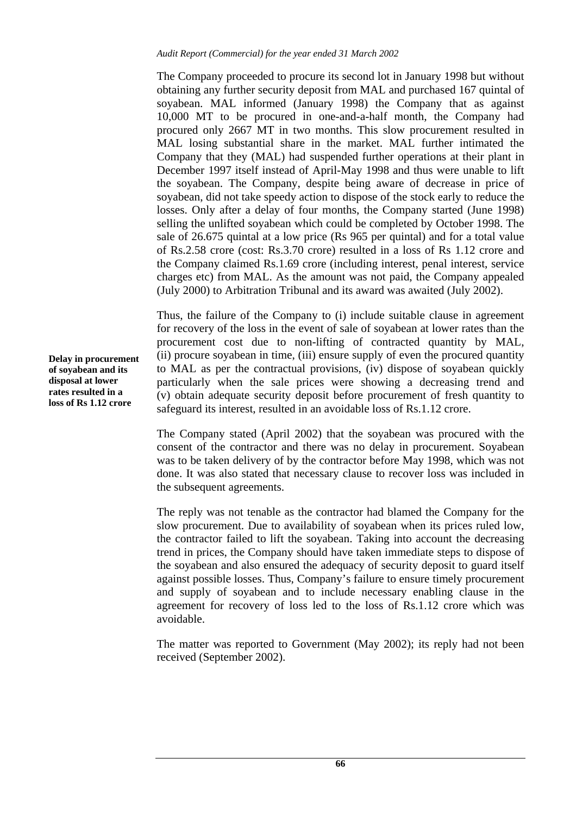The Company proceeded to procure its second lot in January 1998 but without obtaining any further security deposit from MAL and purchased 167 quintal of soyabean. MAL informed (January 1998) the Company that as against 10,000 MT to be procured in one-and-a-half month, the Company had procured only 2667 MT in two months. This slow procurement resulted in MAL losing substantial share in the market. MAL further intimated the Company that they (MAL) had suspended further operations at their plant in December 1997 itself instead of April-May 1998 and thus were unable to lift the soyabean. The Company, despite being aware of decrease in price of soyabean, did not take speedy action to dispose of the stock early to reduce the losses. Only after a delay of four months, the Company started (June 1998) selling the unlifted soyabean which could be completed by October 1998. The sale of 26.675 quintal at a low price (Rs 965 per quintal) and for a total value of Rs.2.58 crore (cost: Rs.3.70 crore) resulted in a loss of Rs 1.12 crore and the Company claimed Rs.1.69 crore (including interest, penal interest, service charges etc) from MAL. As the amount was not paid, the Company appealed (July 2000) to Arbitration Tribunal and its award was awaited (July 2002).

Thus, the failure of the Company to (i) include suitable clause in agreement for recovery of the loss in the event of sale of soyabean at lower rates than the procurement cost due to non-lifting of contracted quantity by MAL, (ii) procure soyabean in time, (iii) ensure supply of even the procured quantity to MAL as per the contractual provisions, (iv) dispose of soyabean quickly particularly when the sale prices were showing a decreasing trend and (v) obtain adequate security deposit before procurement of fresh quantity to safeguard its interest, resulted in an avoidable loss of Rs.1.12 crore.

The Company stated (April 2002) that the soyabean was procured with the consent of the contractor and there was no delay in procurement. Soyabean was to be taken delivery of by the contractor before May 1998, which was not done. It was also stated that necessary clause to recover loss was included in the subsequent agreements.

The reply was not tenable as the contractor had blamed the Company for the slow procurement. Due to availability of soyabean when its prices ruled low, the contractor failed to lift the soyabean. Taking into account the decreasing trend in prices, the Company should have taken immediate steps to dispose of the soyabean and also ensured the adequacy of security deposit to guard itself against possible losses. Thus, Company's failure to ensure timely procurement and supply of soyabean and to include necessary enabling clause in the agreement for recovery of loss led to the loss of Rs.1.12 crore which was avoidable.

The matter was reported to Government (May 2002); its reply had not been received (September 2002).

**Delay in procurement of soyabean and its disposal at lower rates resulted in a loss of Rs 1.12 crore**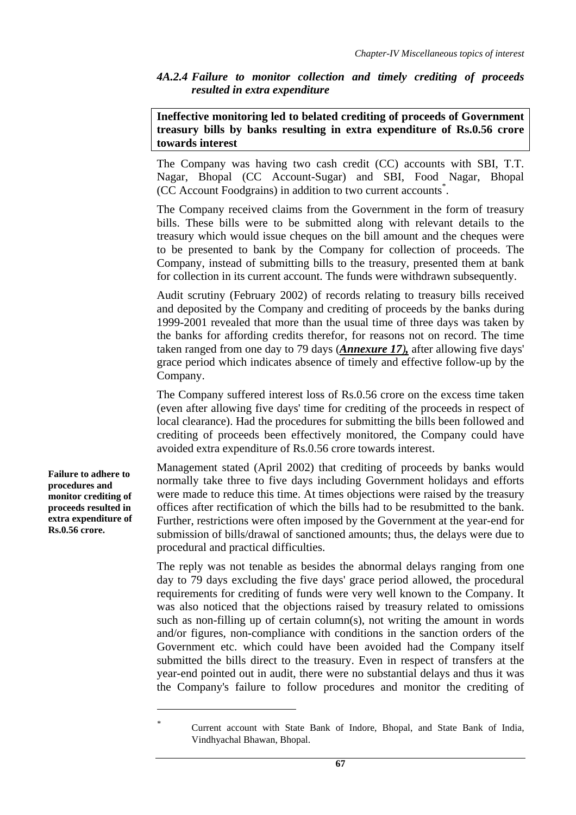*4A.2.4 Failure to monitor collection and timely crediting of proceeds resulted in extra expenditure* 

**Ineffective monitoring led to belated crediting of proceeds of Government treasury bills by banks resulting in extra expenditure of Rs.0.56 crore towards interest** 

The Company was having two cash credit (CC) accounts with SBI, T.T. Nagar, Bhopal (CC Account-Sugar) and SBI, Food Nagar, Bhopal (CC Account Foodgrains) in addition to two current accounts\* .

The Company received claims from the Government in the form of treasury bills. These bills were to be submitted along with relevant details to the treasury which would issue cheques on the bill amount and the cheques were to be presented to bank by the Company for collection of proceeds. The Company, instead of submitting bills to the treasury, presented them at bank for collection in its current account. The funds were withdrawn subsequently.

Audit scrutiny (February 2002) of records relating to treasury bills received and deposited by the Company and crediting of proceeds by the banks during 1999-2001 revealed that more than the usual time of three days was taken by the banks for affording credits therefor, for reasons not on record. The time taken ranged from one day to 79 days (*Annexure 17),* after allowing five days' grace period which indicates absence of timely and effective follow-up by the Company.

The Company suffered interest loss of Rs.0.56 crore on the excess time taken (even after allowing five days' time for crediting of the proceeds in respect of local clearance). Had the procedures for submitting the bills been followed and crediting of proceeds been effectively monitored, the Company could have avoided extra expenditure of Rs.0.56 crore towards interest.

Management stated (April 2002) that crediting of proceeds by banks would normally take three to five days including Government holidays and efforts were made to reduce this time. At times objections were raised by the treasury offices after rectification of which the bills had to be resubmitted to the bank. Further, restrictions were often imposed by the Government at the year-end for submission of bills/drawal of sanctioned amounts; thus, the delays were due to procedural and practical difficulties.

The reply was not tenable as besides the abnormal delays ranging from one day to 79 days excluding the five days' grace period allowed, the procedural requirements for crediting of funds were very well known to the Company. It was also noticed that the objections raised by treasury related to omissions such as non-filling up of certain column(s), not writing the amount in words and/or figures, non-compliance with conditions in the sanction orders of the Government etc. which could have been avoided had the Company itself submitted the bills direct to the treasury. Even in respect of transfers at the year-end pointed out in audit, there were no substantial delays and thus it was the Company's failure to follow procedures and monitor the crediting of

**Failure to adhere to procedures and monitor crediting of proceeds resulted in extra expenditure of Rs.0.56 crore.** 

 $\overline{a}$ 

*<sup>\*</sup>* Current account with State Bank of Indore, Bhopal, and State Bank of India, Vindhyachal Bhawan, Bhopal.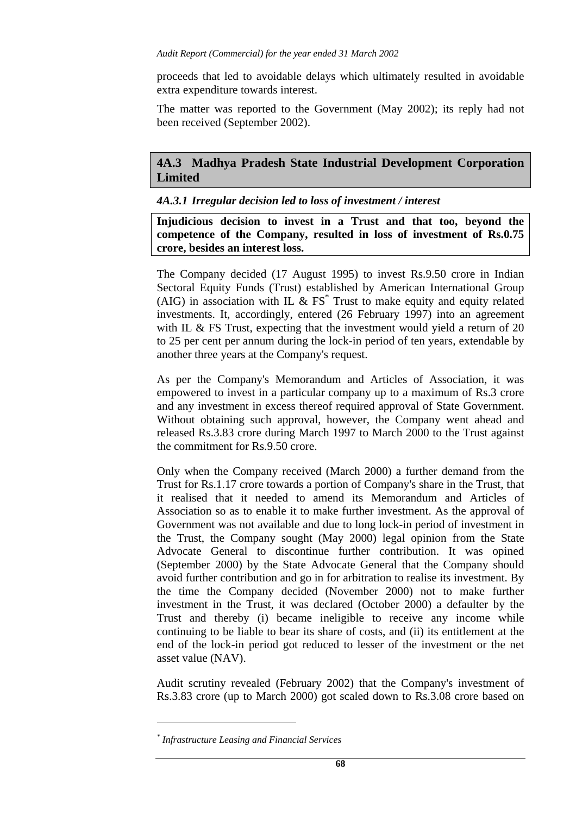proceeds that led to avoidable delays which ultimately resulted in avoidable extra expenditure towards interest.

The matter was reported to the Government (May 2002); its reply had not been received (September 2002).

## **4A.3 Madhya Pradesh State Industrial Development Corporation Limited**

#### *4A.3.1 Irregular decision led to loss of investment / interest*

**Injudicious decision to invest in a Trust and that too, beyond the competence of the Company, resulted in loss of investment of Rs.0.75 crore, besides an interest loss.** 

The Company decided (17 August 1995) to invest Rs.9.50 crore in Indian Sectoral Equity Funds (Trust) established by American International Group (AIG) in association with IL  $\&$  FS<sup>\*</sup> Trust to make equity and equity related investments. It, accordingly, entered (26 February 1997) into an agreement with IL & FS Trust, expecting that the investment would yield a return of 20 to 25 per cent per annum during the lock-in period of ten years, extendable by another three years at the Company's request.

As per the Company's Memorandum and Articles of Association, it was empowered to invest in a particular company up to a maximum of Rs.3 crore and any investment in excess thereof required approval of State Government. Without obtaining such approval, however, the Company went ahead and released Rs.3.83 crore during March 1997 to March 2000 to the Trust against the commitment for Rs.9.50 crore.

Only when the Company received (March 2000) a further demand from the Trust for Rs.1.17 crore towards a portion of Company's share in the Trust, that it realised that it needed to amend its Memorandum and Articles of Association so as to enable it to make further investment. As the approval of Government was not available and due to long lock-in period of investment in the Trust, the Company sought (May 2000) legal opinion from the State Advocate General to discontinue further contribution. It was opined (September 2000) by the State Advocate General that the Company should avoid further contribution and go in for arbitration to realise its investment. By the time the Company decided (November 2000) not to make further investment in the Trust, it was declared (October 2000) a defaulter by the Trust and thereby (i) became ineligible to receive any income while continuing to be liable to bear its share of costs, and (ii) its entitlement at the end of the lock-in period got reduced to lesser of the investment or the net asset value (NAV).

Audit scrutiny revealed (February 2002) that the Company's investment of Rs.3.83 crore (up to March 2000) got scaled down to Rs.3.08 crore based on

 $\overline{a}$ 

*<sup>\*</sup> Infrastructure Leasing and Financial Services*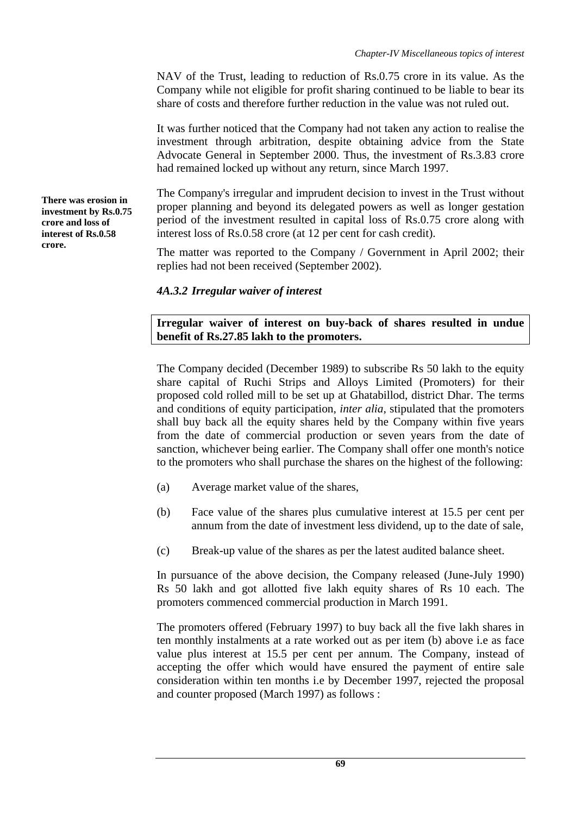NAV of the Trust, leading to reduction of Rs.0.75 crore in its value. As the Company while not eligible for profit sharing continued to be liable to bear its share of costs and therefore further reduction in the value was not ruled out.

It was further noticed that the Company had not taken any action to realise the investment through arbitration, despite obtaining advice from the State Advocate General in September 2000. Thus, the investment of Rs.3.83 crore had remained locked up without any return, since March 1997.

The Company's irregular and imprudent decision to invest in the Trust without proper planning and beyond its delegated powers as well as longer gestation period of the investment resulted in capital loss of Rs.0.75 crore along with interest loss of Rs.0.58 crore (at 12 per cent for cash credit).

The matter was reported to the Company / Government in April 2002; their replies had not been received (September 2002).

## *4A.3.2 Irregular waiver of interest*

**Irregular waiver of interest on buy-back of shares resulted in undue benefit of Rs.27.85 lakh to the promoters.** 

The Company decided (December 1989) to subscribe Rs 50 lakh to the equity share capital of Ruchi Strips and Alloys Limited (Promoters) for their proposed cold rolled mill to be set up at Ghatabillod, district Dhar. The terms and conditions of equity participation, *inter alia*, stipulated that the promoters shall buy back all the equity shares held by the Company within five years from the date of commercial production or seven years from the date of sanction, whichever being earlier. The Company shall offer one month's notice to the promoters who shall purchase the shares on the highest of the following:

- (a) Average market value of the shares,
- (b) Face value of the shares plus cumulative interest at 15.5 per cent per annum from the date of investment less dividend, up to the date of sale,
- (c) Break-up value of the shares as per the latest audited balance sheet.

In pursuance of the above decision, the Company released (June-July 1990) Rs 50 lakh and got allotted five lakh equity shares of Rs 10 each. The promoters commenced commercial production in March 1991.

The promoters offered (February 1997) to buy back all the five lakh shares in ten monthly instalments at a rate worked out as per item (b) above i.e as face value plus interest at 15.5 per cent per annum. The Company, instead of accepting the offer which would have ensured the payment of entire sale consideration within ten months i.e by December 1997, rejected the proposal and counter proposed (March 1997) as follows :

**There was erosion in investment by Rs.0.75 crore and loss of interest of Rs.0.58 crore.**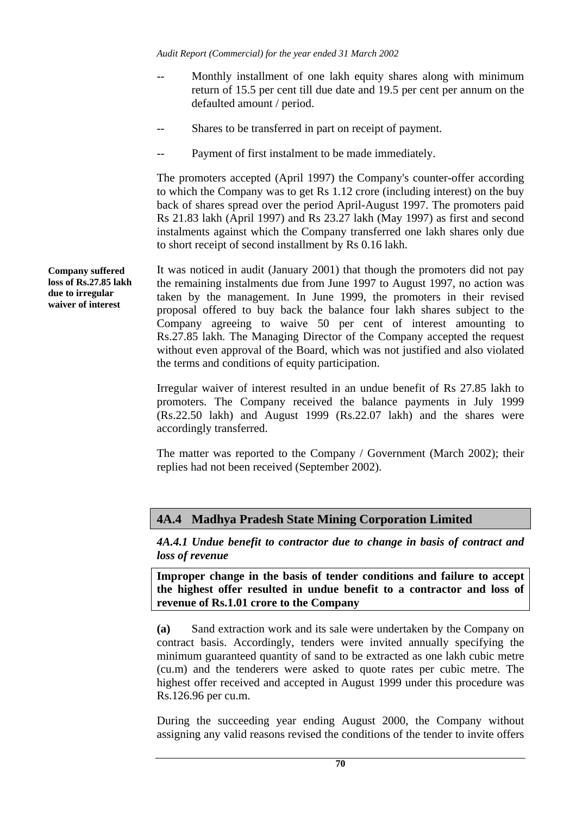- Monthly installment of one lakh equity shares along with minimum return of 15.5 per cent till due date and 19.5 per cent per annum on the defaulted amount / period.
- Shares to be transferred in part on receipt of payment.
- -- Payment of first instalment to be made immediately.

The promoters accepted (April 1997) the Company's counter-offer according to which the Company was to get Rs 1.12 crore (including interest) on the buy back of shares spread over the period April-August 1997. The promoters paid Rs 21.83 lakh (April 1997) and Rs 23.27 lakh (May 1997) as first and second instalments against which the Company transferred one lakh shares only due to short receipt of second installment by Rs 0.16 lakh.

It was noticed in audit (January 2001) that though the promoters did not pay the remaining instalments due from June 1997 to August 1997, no action was taken by the management. In June 1999, the promoters in their revised proposal offered to buy back the balance four lakh shares subject to the Company agreeing to waive 50 per cent of interest amounting to Rs.27.85 lakh. The Managing Director of the Company accepted the request without even approval of the Board, which was not justified and also violated the terms and conditions of equity participation.

Irregular waiver of interest resulted in an undue benefit of Rs 27.85 lakh to promoters. The Company received the balance payments in July 1999 (Rs.22.50 lakh) and August 1999 (Rs.22.07 lakh) and the shares were accordingly transferred.

The matter was reported to the Company / Government (March 2002); their replies had not been received (September 2002).

## **4A.4 Madhya Pradesh State Mining Corporation Limited**

*4A.4.1 Undue benefit to contractor due to change in basis of contract and loss of revenue* 

**Improper change in the basis of tender conditions and failure to accept the highest offer resulted in undue benefit to a contractor and loss of revenue of Rs.1.01 crore to the Company** 

**(a)** Sand extraction work and its sale were undertaken by the Company on contract basis. Accordingly, tenders were invited annually specifying the minimum guaranteed quantity of sand to be extracted as one lakh cubic metre (cu.m) and the tenderers were asked to quote rates per cubic metre. The highest offer received and accepted in August 1999 under this procedure was Rs.126.96 per cu.m.

During the succeeding year ending August 2000, the Company without assigning any valid reasons revised the conditions of the tender to invite offers

**Company suffered loss of Rs.27.85 lakh due to irregular waiver of interest**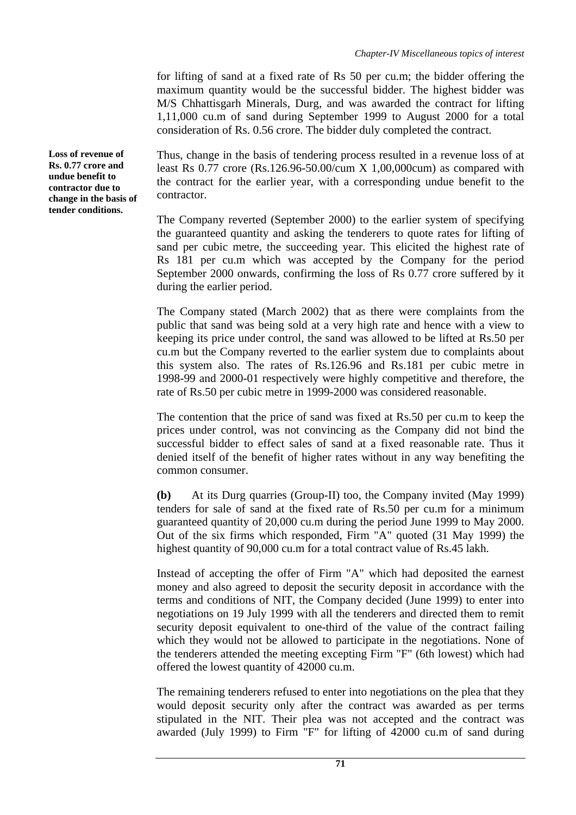for lifting of sand at a fixed rate of Rs 50 per cu.m; the bidder offering the maximum quantity would be the successful bidder. The highest bidder was M/S Chhattisgarh Minerals, Durg, and was awarded the contract for lifting 1,11,000 cu.m of sand during September 1999 to August 2000 for a total consideration of Rs. 0.56 crore. The bidder duly completed the contract.

Thus, change in the basis of tendering process resulted in a revenue loss of at least Rs 0.77 crore (Rs.126.96-50.00/cum X 1,00,000cum) as compared with the contract for the earlier year, with a corresponding undue benefit to the contractor.

The Company reverted (September 2000) to the earlier system of specifying the guaranteed quantity and asking the tenderers to quote rates for lifting of sand per cubic metre, the succeeding year. This elicited the highest rate of Rs 181 per cu.m which was accepted by the Company for the period September 2000 onwards, confirming the loss of Rs 0.77 crore suffered by it during the earlier period.

The Company stated (March 2002) that as there were complaints from the public that sand was being sold at a very high rate and hence with a view to keeping its price under control, the sand was allowed to be lifted at Rs.50 per cu.m but the Company reverted to the earlier system due to complaints about this system also. The rates of Rs.126.96 and Rs.181 per cubic metre in 1998-99 and 2000-01 respectively were highly competitive and therefore, the rate of Rs.50 per cubic metre in 1999-2000 was considered reasonable.

The contention that the price of sand was fixed at Rs.50 per cu.m to keep the prices under control, was not convincing as the Company did not bind the successful bidder to effect sales of sand at a fixed reasonable rate. Thus it denied itself of the benefit of higher rates without in any way benefiting the common consumer.

**(b)** At its Durg quarries (Group-II) too, the Company invited (May 1999) tenders for sale of sand at the fixed rate of Rs.50 per cu.m for a minimum guaranteed quantity of 20,000 cu.m during the period June 1999 to May 2000. Out of the six firms which responded, Firm "A" quoted (31 May 1999) the highest quantity of 90,000 cu.m for a total contract value of Rs.45 lakh.

Instead of accepting the offer of Firm "A" which had deposited the earnest money and also agreed to deposit the security deposit in accordance with the terms and conditions of NIT, the Company decided (June 1999) to enter into negotiations on 19 July 1999 with all the tenderers and directed them to remit security deposit equivalent to one-third of the value of the contract failing which they would not be allowed to participate in the negotiations. None of the tenderers attended the meeting excepting Firm "F" (6th lowest) which had offered the lowest quantity of 42000 cu.m.

The remaining tenderers refused to enter into negotiations on the plea that they would deposit security only after the contract was awarded as per terms stipulated in the NIT. Their plea was not accepted and the contract was awarded (July 1999) to Firm "F" for lifting of 42000 cu.m of sand during

**Loss of revenue of Rs. 0.77 crore and undue benefit to contractor due to change in the basis of tender conditions.**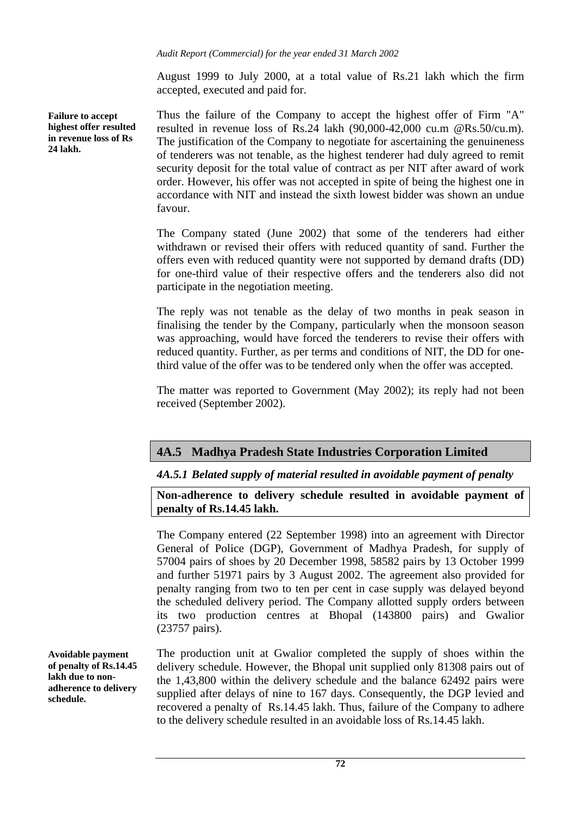*Audit Report (Commercial) for the year ended 31 March 2002* 

August 1999 to July 2000, at a total value of Rs.21 lakh which the firm accepted, executed and paid for.

**Failure to accept highest offer resulted in revenue loss of Rs 24 lakh.** 

Thus the failure of the Company to accept the highest offer of Firm "A" resulted in revenue loss of Rs.24 lakh (90,000-42,000 cu.m @Rs.50/cu.m). The justification of the Company to negotiate for ascertaining the genuineness of tenderers was not tenable, as the highest tenderer had duly agreed to remit security deposit for the total value of contract as per NIT after award of work order. However, his offer was not accepted in spite of being the highest one in accordance with NIT and instead the sixth lowest bidder was shown an undue favour.

The Company stated (June 2002) that some of the tenderers had either withdrawn or revised their offers with reduced quantity of sand. Further the offers even with reduced quantity were not supported by demand drafts (DD) for one-third value of their respective offers and the tenderers also did not participate in the negotiation meeting.

The reply was not tenable as the delay of two months in peak season in finalising the tender by the Company, particularly when the monsoon season was approaching, would have forced the tenderers to revise their offers with reduced quantity. Further, as per terms and conditions of NIT, the DD for onethird value of the offer was to be tendered only when the offer was accepted.

The matter was reported to Government (May 2002); its reply had not been received (September 2002).

## **4A.5 Madhya Pradesh State Industries Corporation Limited**

### *4A.5.1 Belated supply of material resulted in avoidable payment of penalty*

**Non-adherence to delivery schedule resulted in avoidable payment of penalty of Rs.14.45 lakh.** 

The Company entered (22 September 1998) into an agreement with Director General of Police (DGP), Government of Madhya Pradesh, for supply of 57004 pairs of shoes by 20 December 1998, 58582 pairs by 13 October 1999 and further 51971 pairs by 3 August 2002. The agreement also provided for penalty ranging from two to ten per cent in case supply was delayed beyond the scheduled delivery period. The Company allotted supply orders between its two production centres at Bhopal (143800 pairs) and Gwalior (23757 pairs).

The production unit at Gwalior completed the supply of shoes within the delivery schedule. However, the Bhopal unit supplied only 81308 pairs out of the 1,43,800 within the delivery schedule and the balance 62492 pairs were supplied after delays of nine to 167 days. Consequently, the DGP levied and recovered a penalty of Rs.14.45 lakh. Thus, failure of the Company to adhere to the delivery schedule resulted in an avoidable loss of Rs.14.45 lakh.

**Avoidable payment of penalty of Rs.14.45 lakh due to nonadherence to delivery schedule.**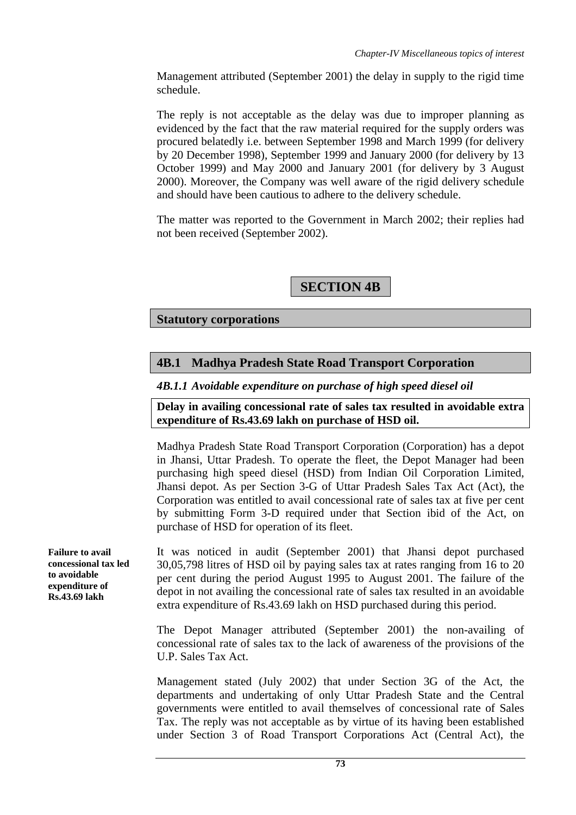Management attributed (September 2001) the delay in supply to the rigid time schedule.

The reply is not acceptable as the delay was due to improper planning as evidenced by the fact that the raw material required for the supply orders was procured belatedly i.e. between September 1998 and March 1999 (for delivery by 20 December 1998), September 1999 and January 2000 (for delivery by 13 October 1999) and May 2000 and January 2001 (for delivery by 3 August 2000). Moreover, the Company was well aware of the rigid delivery schedule and should have been cautious to adhere to the delivery schedule.

The matter was reported to the Government in March 2002; their replies had not been received (September 2002).

**SECTION 4B** 

**Statutory corporations** 

## **4B.1 Madhya Pradesh State Road Transport Corporation**

*4B.1.1 Avoidable expenditure on purchase of high speed diesel oil* 

**Delay in availing concessional rate of sales tax resulted in avoidable extra expenditure of Rs.43.69 lakh on purchase of HSD oil.** 

Madhya Pradesh State Road Transport Corporation (Corporation) has a depot in Jhansi, Uttar Pradesh. To operate the fleet, the Depot Manager had been purchasing high speed diesel (HSD) from Indian Oil Corporation Limited, Jhansi depot. As per Section 3-G of Uttar Pradesh Sales Tax Act (Act), the Corporation was entitled to avail concessional rate of sales tax at five per cent by submitting Form 3-D required under that Section ibid of the Act, on purchase of HSD for operation of its fleet.

It was noticed in audit (September 2001) that Jhansi depot purchased 30,05,798 litres of HSD oil by paying sales tax at rates ranging from 16 to 20 per cent during the period August 1995 to August 2001. The failure of the depot in not availing the concessional rate of sales tax resulted in an avoidable extra expenditure of Rs.43.69 lakh on HSD purchased during this period.

The Depot Manager attributed (September 2001) the non-availing of concessional rate of sales tax to the lack of awareness of the provisions of the U.P. Sales Tax Act.

Management stated (July 2002) that under Section 3G of the Act, the departments and undertaking of only Uttar Pradesh State and the Central governments were entitled to avail themselves of concessional rate of Sales Tax. The reply was not acceptable as by virtue of its having been established under Section 3 of Road Transport Corporations Act (Central Act), the

**Failure to avail concessional tax led to avoidable expenditure of Rs.43.69 lakh**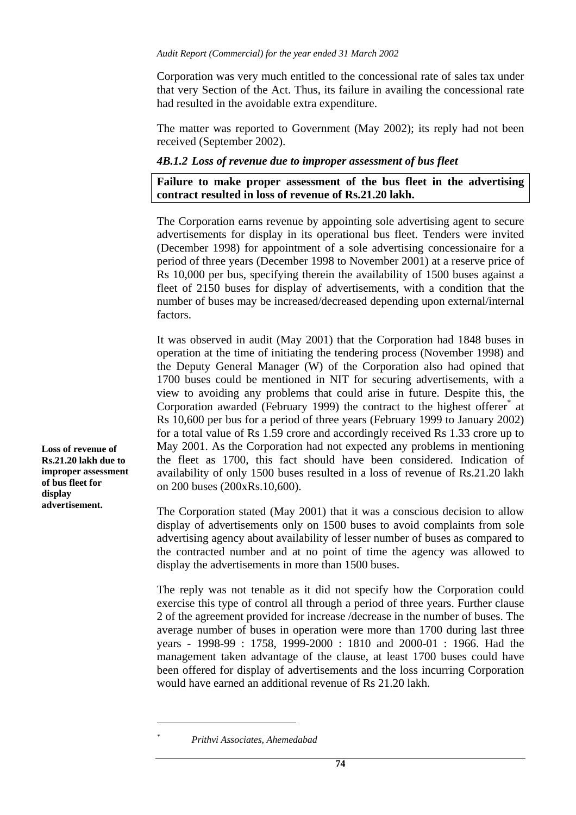Corporation was very much entitled to the concessional rate of sales tax under that very Section of the Act. Thus, its failure in availing the concessional rate had resulted in the avoidable extra expenditure.

The matter was reported to Government (May 2002); its reply had not been received (September 2002).

#### *4B.1.2 Loss of revenue due to improper assessment of bus fleet*

**Failure to make proper assessment of the bus fleet in the advertising contract resulted in loss of revenue of Rs.21.20 lakh.** 

The Corporation earns revenue by appointing sole advertising agent to secure advertisements for display in its operational bus fleet. Tenders were invited (December 1998) for appointment of a sole advertising concessionaire for a period of three years (December 1998 to November 2001) at a reserve price of Rs 10,000 per bus, specifying therein the availability of 1500 buses against a fleet of 2150 buses for display of advertisements, with a condition that the number of buses may be increased/decreased depending upon external/internal factors.

It was observed in audit (May 2001) that the Corporation had 1848 buses in operation at the time of initiating the tendering process (November 1998) and the Deputy General Manager (W) of the Corporation also had opined that 1700 buses could be mentioned in NIT for securing advertisements, with a view to avoiding any problems that could arise in future. Despite this, the Corporation awarded (February 1999) the contract to the highest offerer<sup>\*</sup> at Rs 10,600 per bus for a period of three years (February 1999 to January 2002) for a total value of Rs 1.59 crore and accordingly received Rs 1.33 crore up to May 2001. As the Corporation had not expected any problems in mentioning the fleet as 1700, this fact should have been considered. Indication of availability of only 1500 buses resulted in a loss of revenue of Rs.21.20 lakh on 200 buses (200xRs.10,600).

The Corporation stated (May 2001) that it was a conscious decision to allow display of advertisements only on 1500 buses to avoid complaints from sole advertising agency about availability of lesser number of buses as compared to the contracted number and at no point of time the agency was allowed to display the advertisements in more than 1500 buses.

The reply was not tenable as it did not specify how the Corporation could exercise this type of control all through a period of three years. Further clause 2 of the agreement provided for increase /decrease in the number of buses. The average number of buses in operation were more than 1700 during last three years - 1998-99 : 1758, 1999-2000 : 1810 and 2000-01 : 1966. Had the management taken advantage of the clause, at least 1700 buses could have been offered for display of advertisements and the loss incurring Corporation would have earned an additional revenue of Rs 21.20 lakh.

 $\overline{a}$ *\**

**Loss of revenue of Rs.21.20 lakh due to improper assessment of bus fleet for display advertisement.** 

*Prithvi Associates, Ahemedabad*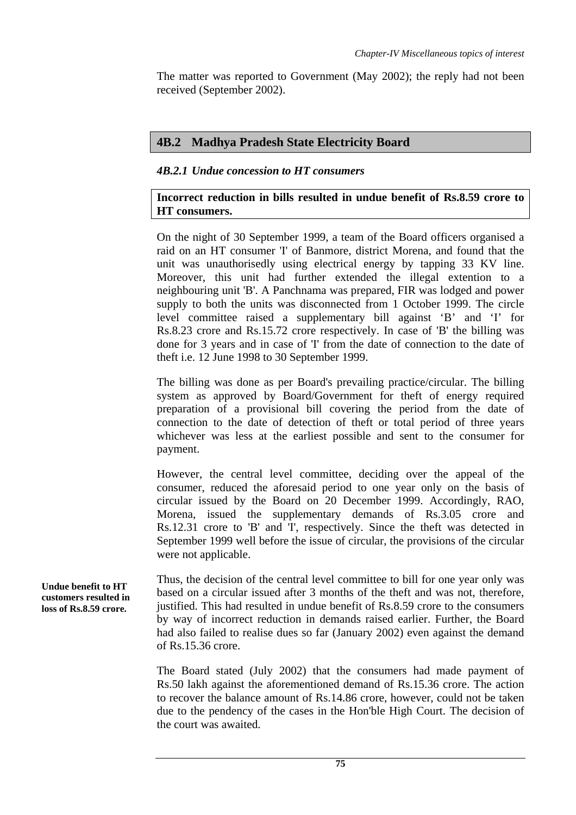The matter was reported to Government (May 2002); the reply had not been received (September 2002).

### **4B.2 Madhya Pradesh State Electricity Board**

## *4B.2.1 Undue concession to HT consumers*

## **Incorrect reduction in bills resulted in undue benefit of Rs.8.59 crore to HT consumers.**

On the night of 30 September 1999, a team of the Board officers organised a raid on an HT consumer 'I' of Banmore, district Morena, and found that the unit was unauthorisedly using electrical energy by tapping 33 KV line. Moreover, this unit had further extended the illegal extention to a neighbouring unit 'B'. A Panchnama was prepared, FIR was lodged and power supply to both the units was disconnected from 1 October 1999. The circle level committee raised a supplementary bill against 'B' and 'I' for Rs.8.23 crore and Rs.15.72 crore respectively. In case of 'B' the billing was done for 3 years and in case of 'I' from the date of connection to the date of theft i.e. 12 June 1998 to 30 September 1999.

The billing was done as per Board's prevailing practice/circular. The billing system as approved by Board/Government for theft of energy required preparation of a provisional bill covering the period from the date of connection to the date of detection of theft or total period of three years whichever was less at the earliest possible and sent to the consumer for payment.

However, the central level committee, deciding over the appeal of the consumer, reduced the aforesaid period to one year only on the basis of circular issued by the Board on 20 December 1999. Accordingly, RAO, Morena, issued the supplementary demands of Rs.3.05 crore and Rs.12.31 crore to 'B' and 'I', respectively. Since the theft was detected in September 1999 well before the issue of circular, the provisions of the circular were not applicable.

Thus, the decision of the central level committee to bill for one year only was based on a circular issued after 3 months of the theft and was not, therefore, justified. This had resulted in undue benefit of Rs.8.59 crore to the consumers by way of incorrect reduction in demands raised earlier. Further, the Board had also failed to realise dues so far (January 2002) even against the demand of Rs.15.36 crore.

The Board stated (July 2002) that the consumers had made payment of Rs.50 lakh against the aforementioned demand of Rs.15.36 crore. The action to recover the balance amount of Rs.14.86 crore, however, could not be taken due to the pendency of the cases in the Hon'ble High Court. The decision of the court was awaited.

**Undue benefit to HT customers resulted in loss of Rs.8.59 crore.**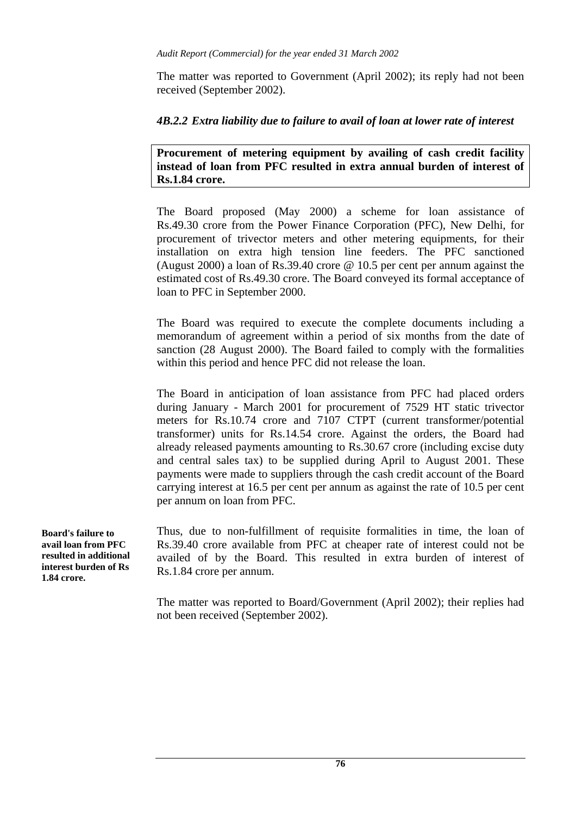The matter was reported to Government (April 2002); its reply had not been received (September 2002).

## *4B.2.2 Extra liability due to failure to avail of loan at lower rate of interest*

**Procurement of metering equipment by availing of cash credit facility instead of loan from PFC resulted in extra annual burden of interest of Rs.1.84 crore.** 

The Board proposed (May 2000) a scheme for loan assistance of Rs.49.30 crore from the Power Finance Corporation (PFC), New Delhi, for procurement of trivector meters and other metering equipments, for their installation on extra high tension line feeders. The PFC sanctioned (August 2000) a loan of Rs.39.40 crore @ 10.5 per cent per annum against the estimated cost of Rs.49.30 crore. The Board conveyed its formal acceptance of loan to PFC in September 2000.

The Board was required to execute the complete documents including a memorandum of agreement within a period of six months from the date of sanction (28 August 2000). The Board failed to comply with the formalities within this period and hence PFC did not release the loan.

The Board in anticipation of loan assistance from PFC had placed orders during January - March 2001 for procurement of 7529 HT static trivector meters for Rs.10.74 crore and 7107 CTPT (current transformer/potential transformer) units for Rs.14.54 crore. Against the orders, the Board had already released payments amounting to Rs.30.67 crore (including excise duty and central sales tax) to be supplied during April to August 2001. These payments were made to suppliers through the cash credit account of the Board carrying interest at 16.5 per cent per annum as against the rate of 10.5 per cent per annum on loan from PFC.

Thus, due to non-fulfillment of requisite formalities in time, the loan of Rs.39.40 crore available from PFC at cheaper rate of interest could not be availed of by the Board. This resulted in extra burden of interest of Rs.1.84 crore per annum.

The matter was reported to Board/Government (April 2002); their replies had not been received (September 2002).

**Board's failure to avail loan from PFC resulted in additional interest burden of Rs 1.84 crore.**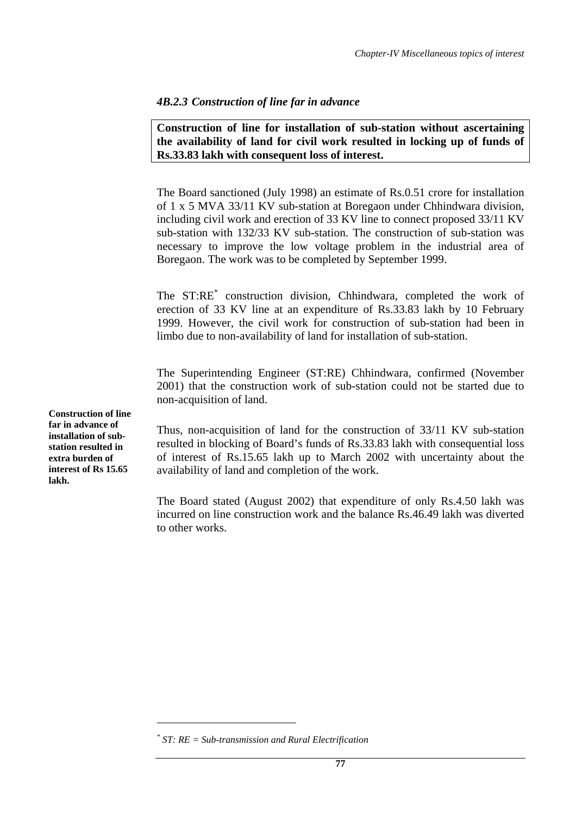### *4B.2.3 Construction of line far in advance*

**Construction of line for installation of sub-station without ascertaining the availability of land for civil work resulted in locking up of funds of Rs.33.83 lakh with consequent loss of interest.** 

The Board sanctioned (July 1998) an estimate of Rs.0.51 crore for installation of 1 x 5 MVA 33/11 KV sub-station at Boregaon under Chhindwara division, including civil work and erection of 33 KV line to connect proposed 33/11 KV sub-station with 132/33 KV sub-station. The construction of sub-station was necessary to improve the low voltage problem in the industrial area of Boregaon. The work was to be completed by September 1999.

The ST:RE<sup>\*</sup> construction division, Chhindwara, completed the work of erection of 33 KV line at an expenditure of Rs.33.83 lakh by 10 February 1999. However, the civil work for construction of sub-station had been in limbo due to non-availability of land for installation of sub-station.

The Superintending Engineer (ST:RE) Chhindwara, confirmed (November 2001) that the construction work of sub-station could not be started due to non-acquisition of land.

Thus, non-acquisition of land for the construction of 33/11 KV sub-station resulted in blocking of Board's funds of Rs.33.83 lakh with consequential loss of interest of Rs.15.65 lakh up to March 2002 with uncertainty about the availability of land and completion of the work.

The Board stated (August 2002) that expenditure of only Rs.4.50 lakh was incurred on line construction work and the balance Rs.46.49 lakh was diverted to other works.

 $\overline{a}$ 

**Construction of line far in advance of installation of substation resulted in extra burden of interest of Rs 15.65 lakh.** 

*<sup>\*</sup> ST: RE = Sub-transmission and Rural Electrification*